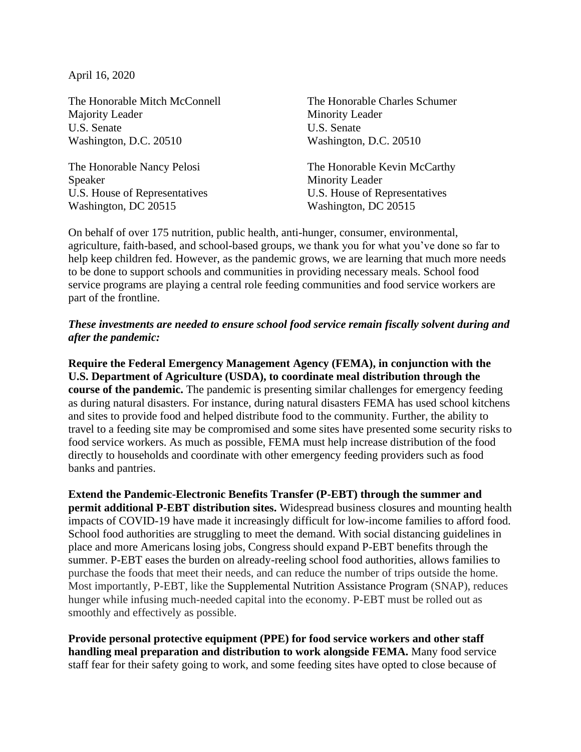April 16, 2020

The Honorable Mitch McConnell Majority Leader U.S. Senate Washington, D.C. 20510

The Honorable Nancy Pelosi Speaker U.S. House of Representatives Washington, DC 20515

The Honorable Charles Schumer Minority Leader U.S. Senate Washington, D.C. 20510

The Honorable Kevin McCarthy Minority Leader U.S. House of Representatives Washington, DC 20515

On behalf of over 175 nutrition, public health, anti-hunger, consumer, environmental, agriculture, faith-based, and school-based groups, we thank you for what you've done so far to help keep children fed. However, as the pandemic grows, we are learning that much more needs to be done to support schools and communities in providing necessary meals. School food service programs are playing a central role feeding communities and food service workers are part of the frontline.

## *These investments are needed to ensure school food service remain fiscally solvent during and after the pandemic:*

**Require the Federal Emergency Management Agency (FEMA), in conjunction with the U.S. Department of Agriculture (USDA), to coordinate meal distribution through the course of the pandemic.** The pandemic is presenting similar challenges for emergency feeding as during natural disasters. For instance, during natural disasters FEMA has used school kitchens and sites to provide food and helped distribute food to the community. Further, the ability to travel to a feeding site may be compromised and some sites have presented some security risks to food service workers. As much as possible, FEMA must help increase distribution of the food directly to households and coordinate with other emergency feeding providers such as food banks and pantries.

**Extend the Pandemic-Electronic Benefits Transfer (P-EBT) through the summer and permit additional P-EBT distribution sites.** Widespread business closures and mounting health impacts of COVID-19 have made it increasingly difficult for low-income families to afford food. School food authorities are struggling to meet the demand. With social distancing guidelines in place and more Americans losing jobs, Congress should expand P-EBT benefits through the summer. P-EBT eases the burden on already-reeling school food authorities, allows families to purchase the foods that meet their needs, and can reduce the number of trips outside the home. Most importantly, P-EBT, like the Supplemental Nutrition Assistance Program (SNAP), reduces hunger while infusing much-needed capital into the economy. P-EBT must be rolled out as smoothly and effectively as possible.

**Provide personal protective equipment (PPE) for food service workers and other staff handling meal preparation and distribution to work alongside FEMA.** Many food service staff fear for their safety going to work, and some feeding sites have opted to close because of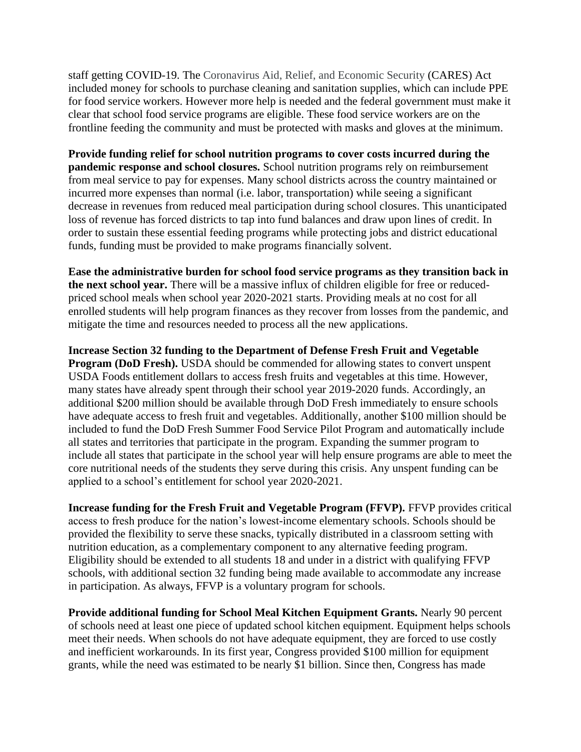staff getting COVID-19. The Coronavirus Aid, Relief, and Economic Security (CARES) Act included money for schools to purchase cleaning and sanitation supplies, which can include PPE for food service workers. However more help is needed and the federal government must make it clear that school food service programs are eligible. These food service workers are on the frontline feeding the community and must be protected with masks and gloves at the minimum.

**Provide funding relief for school nutrition programs to cover costs incurred during the pandemic response and school closures.** School nutrition programs rely on reimbursement from meal service to pay for expenses. Many school districts across the country maintained or incurred more expenses than normal (i.e. labor, transportation) while seeing a significant decrease in revenues from reduced meal participation during school closures. This unanticipated loss of revenue has forced districts to tap into fund balances and draw upon lines of credit. In order to sustain these essential feeding programs while protecting jobs and district educational funds, funding must be provided to make programs financially solvent.

**Ease the administrative burden for school food service programs as they transition back in the next school year.** There will be a massive influx of children eligible for free or reducedpriced school meals when school year 2020-2021 starts. Providing meals at no cost for all enrolled students will help program finances as they recover from losses from the pandemic, and mitigate the time and resources needed to process all the new applications.

**Increase Section 32 funding to the Department of Defense Fresh Fruit and Vegetable Program (DoD Fresh).** USDA should be commended for allowing states to convert unspent USDA Foods entitlement dollars to access fresh fruits and vegetables at this time. However, many states have already spent through their school year 2019-2020 funds. Accordingly, an additional \$200 million should be available through DoD Fresh immediately to ensure schools have adequate access to fresh fruit and vegetables. Additionally, another \$100 million should be included to fund the DoD Fresh Summer Food Service Pilot Program and automatically include all states and territories that participate in the program. Expanding the summer program to include all states that participate in the school year will help ensure programs are able to meet the core nutritional needs of the students they serve during this crisis. Any unspent funding can be applied to a school's entitlement for school year 2020-2021.

**Increase funding for the Fresh Fruit and Vegetable Program (FFVP).** FFVP provides critical access to fresh produce for the nation's lowest-income elementary schools. Schools should be provided the flexibility to serve these snacks, typically distributed in a classroom setting with nutrition education, as a complementary component to any alternative feeding program. Eligibility should be extended to all students 18 and under in a district with qualifying FFVP schools, with additional section 32 funding being made available to accommodate any increase in participation. As always, FFVP is a voluntary program for schools.

**Provide additional funding for School Meal Kitchen Equipment Grants.** Nearly 90 percent of schools need at least one piece of updated school kitchen equipment. Equipment helps schools meet their needs. When schools do not have adequate equipment, they are forced to use costly and inefficient workarounds. In its first year, Congress provided \$100 million for equipment grants, while the need was estimated to be nearly \$1 billion. Since then, Congress has made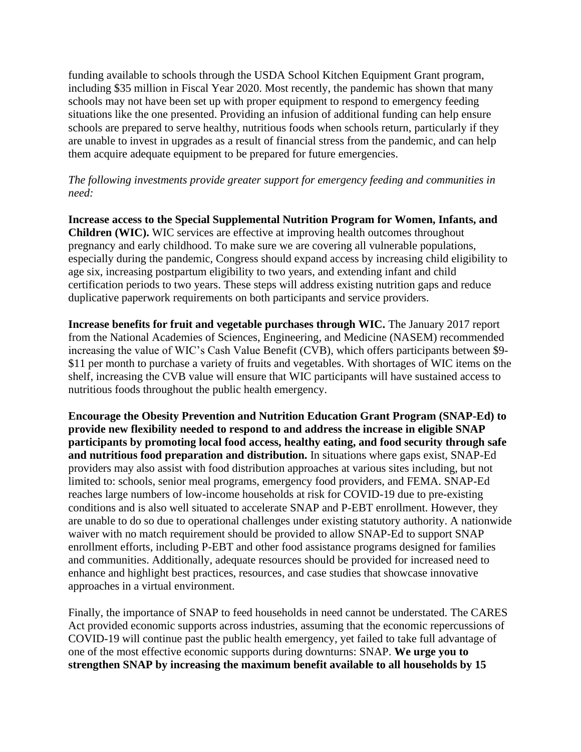funding available to schools through the USDA School Kitchen Equipment Grant program, including \$35 million in Fiscal Year 2020. Most recently, the pandemic has shown that many schools may not have been set up with proper equipment to respond to emergency feeding situations like the one presented. Providing an infusion of additional funding can help ensure schools are prepared to serve healthy, nutritious foods when schools return, particularly if they are unable to invest in upgrades as a result of financial stress from the pandemic, and can help them acquire adequate equipment to be prepared for future emergencies.

## *The following investments provide greater support for emergency feeding and communities in need:*

**Increase access to the Special Supplemental Nutrition Program for Women, Infants, and Children (WIC).** WIC services are effective at improving health outcomes throughout pregnancy and early childhood. To make sure we are covering all vulnerable populations, especially during the pandemic, Congress should expand access by increasing child eligibility to age six, increasing postpartum eligibility to two years, and extending infant and child certification periods to two years. These steps will address existing nutrition gaps and reduce duplicative paperwork requirements on both participants and service providers.

**Increase benefits for fruit and vegetable purchases through WIC.** The January 2017 report from the National Academies of Sciences, Engineering, and Medicine (NASEM) recommended increasing the value of WIC's Cash Value Benefit (CVB), which offers participants between \$9- \$11 per month to purchase a variety of fruits and vegetables. With shortages of WIC items on the shelf, increasing the CVB value will ensure that WIC participants will have sustained access to nutritious foods throughout the public health emergency.

**Encourage the Obesity Prevention and Nutrition Education Grant Program (SNAP-Ed) to provide new flexibility needed to respond to and address the increase in eligible SNAP participants by promoting local food access, healthy eating, and food security through safe and nutritious food preparation and distribution.** In situations where gaps exist, SNAP-Ed providers may also assist with food distribution approaches at various sites including, but not limited to: schools, senior meal programs, emergency food providers, and FEMA. SNAP-Ed reaches large numbers of low-income households at risk for COVID-19 due to pre-existing conditions and is also well situated to accelerate SNAP and P-EBT enrollment. However, they are unable to do so due to operational challenges under existing statutory authority. A nationwide waiver with no match requirement should be provided to allow SNAP-Ed to support SNAP enrollment efforts, including P-EBT and other food assistance programs designed for families and communities. Additionally, adequate resources should be provided for increased need to enhance and highlight best practices, resources, and case studies that showcase innovative approaches in a virtual environment.

Finally, the importance of SNAP to feed households in need cannot be understated. The CARES Act provided economic supports across industries, assuming that the economic repercussions of COVID-19 will continue past the public health emergency, yet failed to take full advantage of one of the most effective economic supports during downturns: SNAP. **We urge you to strengthen SNAP by increasing the maximum benefit available to all households by 15**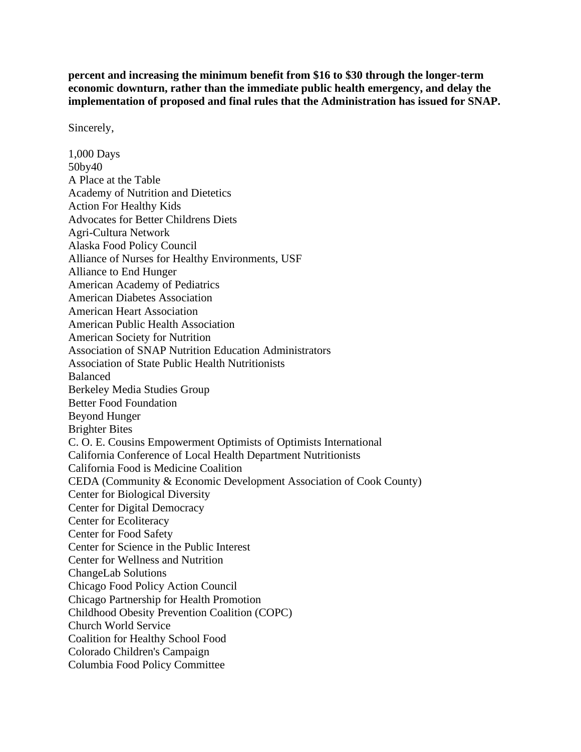**percent and increasing the minimum benefit from \$16 to \$30 through the longer-term economic downturn, rather than the immediate public health emergency, and delay the implementation of proposed and final rules that the Administration has issued for SNAP.** 

Sincerely,

1,000 Days 50by40 A Place at the Table Academy of Nutrition and Dietetics Action For Healthy Kids Advocates for Better Childrens Diets Agri-Cultura Network Alaska Food Policy Council Alliance of Nurses for Healthy Environments, USF Alliance to End Hunger American Academy of Pediatrics American Diabetes Association American Heart Association American Public Health Association American Society for Nutrition Association of SNAP Nutrition Education Administrators Association of State Public Health Nutritionists Balanced Berkeley Media Studies Group Better Food Foundation Beyond Hunger Brighter Bites C. O. E. Cousins Empowerment Optimists of Optimists International California Conference of Local Health Department Nutritionists California Food is Medicine Coalition CEDA (Community & Economic Development Association of Cook County) Center for Biological Diversity Center for Digital Democracy Center for Ecoliteracy Center for Food Safety Center for Science in the Public Interest Center for Wellness and Nutrition ChangeLab Solutions Chicago Food Policy Action Council Chicago Partnership for Health Promotion Childhood Obesity Prevention Coalition (COPC) Church World Service Coalition for Healthy School Food Colorado Children's Campaign Columbia Food Policy Committee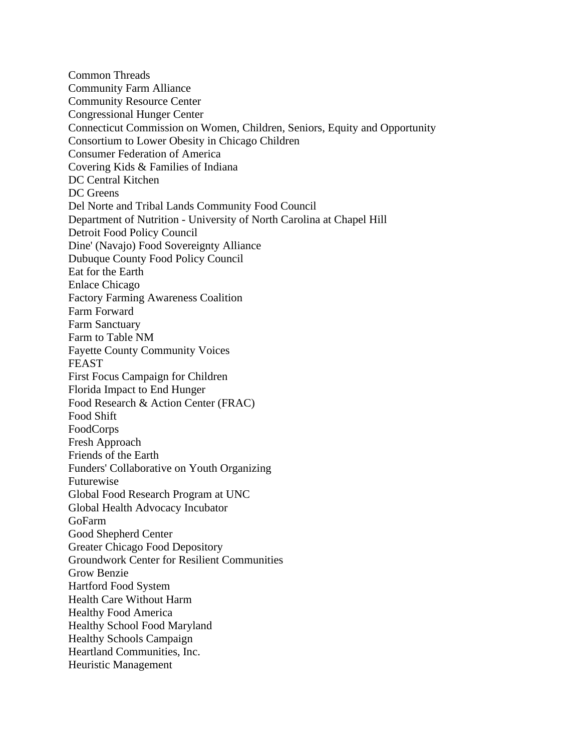Common Threads Community Farm Alliance Community Resource Center Congressional Hunger Center Connecticut Commission on Women, Children, Seniors, Equity and Opportunity Consortium to Lower Obesity in Chicago Children Consumer Federation of America Covering Kids & Families of Indiana DC Central Kitchen DC Greens Del Norte and Tribal Lands Community Food Council Department of Nutrition - University of North Carolina at Chapel Hill Detroit Food Policy Council Dine' (Navajo) Food Sovereignty Alliance Dubuque County Food Policy Council Eat for the Earth Enlace Chicago Factory Farming Awareness Coalition Farm Forward Farm Sanctuary Farm to Table NM Fayette County Community Voices FEAST First Focus Campaign for Children Florida Impact to End Hunger Food Research & Action Center (FRAC) Food Shift FoodCorps Fresh Approach Friends of the Earth Funders' Collaborative on Youth Organizing Futurewise Global Food Research Program at UNC Global Health Advocacy Incubator GoFarm Good Shepherd Center Greater Chicago Food Depository Groundwork Center for Resilient Communities Grow Benzie Hartford Food System Health Care Without Harm Healthy Food America Healthy School Food Maryland Healthy Schools Campaign Heartland Communities, Inc. Heuristic Management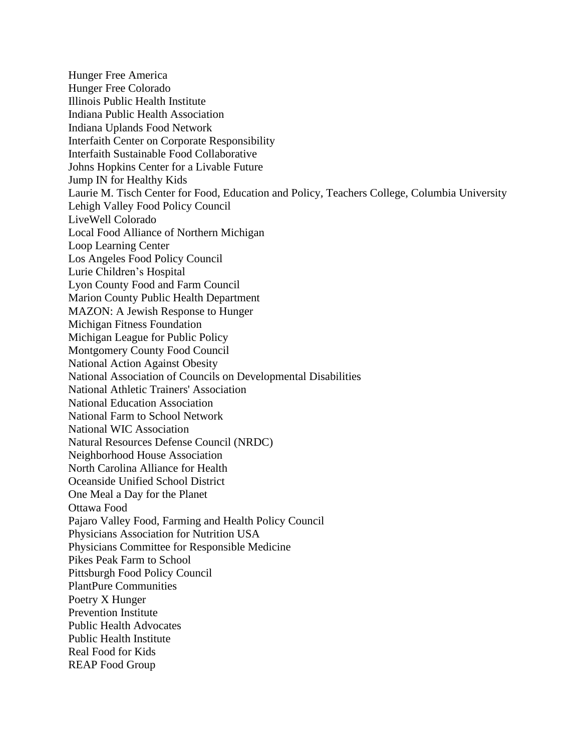Hunger Free America Hunger Free Colorado Illinois Public Health Institute Indiana Public Health Association Indiana Uplands Food Network Interfaith Center on Corporate Responsibility Interfaith Sustainable Food Collaborative Johns Hopkins Center for a Livable Future Jump IN for Healthy Kids Laurie M. Tisch Center for Food, Education and Policy, Teachers College, Columbia University Lehigh Valley Food Policy Council LiveWell Colorado Local Food Alliance of Northern Michigan Loop Learning Center Los Angeles Food Policy Council Lurie Children's Hospital Lyon County Food and Farm Council Marion County Public Health Department MAZON: A Jewish Response to Hunger Michigan Fitness Foundation Michigan League for Public Policy Montgomery County Food Council National Action Against Obesity National Association of Councils on Developmental Disabilities National Athletic Trainers' Association National Education Association National Farm to School Network National WIC Association Natural Resources Defense Council (NRDC) Neighborhood House Association North Carolina Alliance for Health Oceanside Unified School District One Meal a Day for the Planet Ottawa Food Pajaro Valley Food, Farming and Health Policy Council Physicians Association for Nutrition USA Physicians Committee for Responsible Medicine Pikes Peak Farm to School Pittsburgh Food Policy Council PlantPure Communities Poetry X Hunger Prevention Institute Public Health Advocates Public Health Institute Real Food for Kids REAP Food Group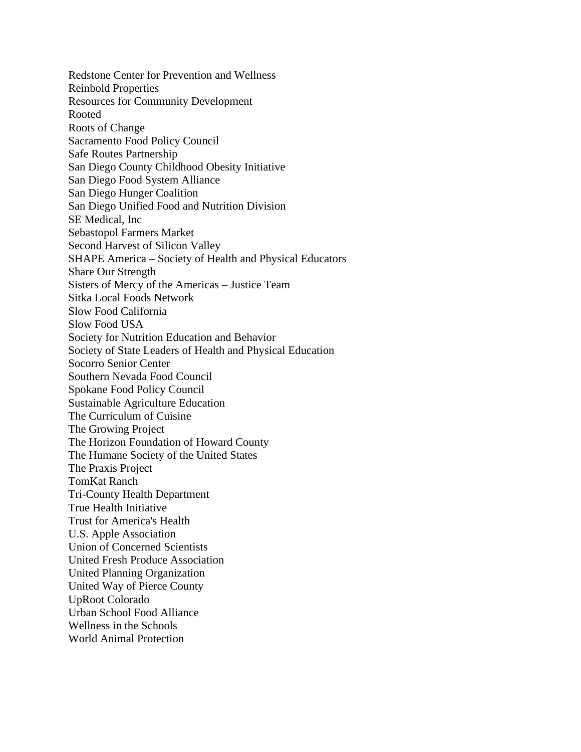Redstone Center for Prevention and Wellness Reinbold Properties Resources for Community Development Rooted Roots of Change Sacramento Food Policy Council Safe Routes Partnership San Diego County Childhood Obesity Initiative San Diego Food System Alliance San Diego Hunger Coalition San Diego Unified Food and Nutrition Division SE Medical, Inc Sebastopol Farmers Market Second Harvest of Silicon Valley SHAPE America – Society of Health and Physical Educators Share Our Strength Sisters of Mercy of the Americas – Justice Team Sitka Local Foods Network Slow Food California Slow Food USA Society for Nutrition Education and Behavior Society of State Leaders of Health and Physical Education Socorro Senior Center Southern Nevada Food Council Spokane Food Policy Council Sustainable Agriculture Education The Curriculum of Cuisine The Growing Project The Horizon Foundation of Howard County The Humane Society of the United States The Praxis Project TomKat Ranch Tri-County Health Department True Health Initiative Trust for America's Health U.S. Apple Association Union of Concerned Scientists United Fresh Produce Association United Planning Organization United Way of Pierce County UpRoot Colorado Urban School Food Alliance Wellness in the Schools World Animal Protection